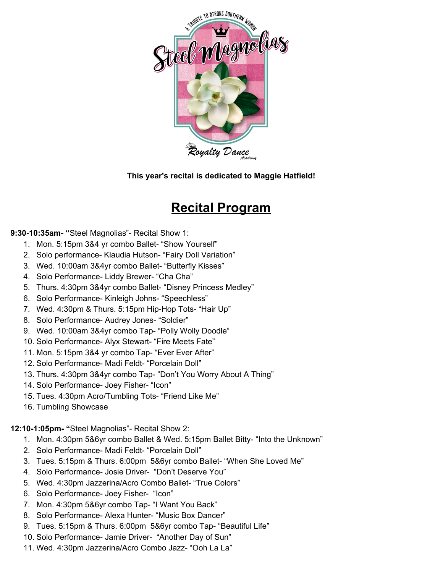

**This year's recital is dedicated to Maggie Hatfield!**

# **Recital Program**

#### **9:30-10:35am- "**Steel Magnolias"- Recital Show 1:

- 1. Mon. 5:15pm 3&4 yr combo Ballet- "Show Yourself"
- 2. Solo performance- Klaudia Hutson- "Fairy Doll Variation"
- 3. Wed. 10:00am 3&4yr combo Ballet- "Butterfly Kisses"
- 4. Solo Performance- Liddy Brewer- "Cha Cha"
- 5. Thurs. 4:30pm 3&4yr combo Ballet- "Disney Princess Medley"
- 6. Solo Performance- Kinleigh Johns- "Speechless"
- 7. Wed. 4:30pm & Thurs. 5:15pm Hip-Hop Tots- "Hair Up"
- 8. Solo Performance- Audrey Jones- "Soldier"
- 9. Wed. 10:00am 3&4yr combo Tap- "Polly Wolly Doodle"
- 10. Solo Performance- Alyx Stewart- "Fire Meets Fate"
- 11. Mon. 5:15pm 3&4 yr combo Tap- "Ever Ever After"
- 12. Solo Performance- Madi Feldt- "Porcelain Doll"
- 13. Thurs. 4:30pm 3&4yr combo Tap- "Don't You Worry About A Thing"
- 14. Solo Performance- Joey Fisher- "Icon"
- 15. Tues. 4:30pm Acro/Tumbling Tots- "Friend Like Me"
- 16. Tumbling Showcase

**12:10-1:05pm- "**Steel Magnolias"- Recital Show 2:

- 1. Mon. 4:30pm 5&6yr combo Ballet & Wed. 5:15pm Ballet Bitty- "Into the Unknown"
- 2. Solo Performance- Madi Feldt- "Porcelain Doll"
- 3. Tues. 5:15pm & Thurs. 6:00pm 5&6yr combo Ballet- "When She Loved Me"
- 4. Solo Performance- Josie Driver- "Don't Deserve You"
- 5. Wed. 4:30pm Jazzerina/Acro Combo Ballet- "True Colors"
- 6. Solo Performance- Joey Fisher- "Icon"
- 7. Mon. 4:30pm 5&6yr combo Tap- "I Want You Back"
- 8. Solo Performance- Alexa Hunter- "Music Box Dancer"
- 9. Tues. 5:15pm & Thurs. 6:00pm 5&6yr combo Tap- "Beautiful Life"
- 10. Solo Performance- Jamie Driver- "Another Day of Sun"
- 11. Wed. 4:30pm Jazzerina/Acro Combo Jazz- "Ooh La La"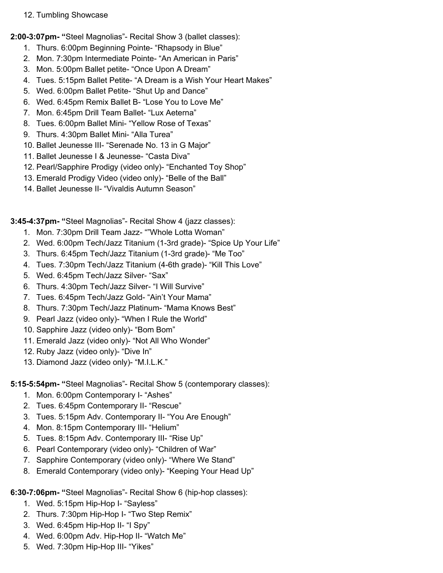12. Tumbling Showcase

**2:00-3:07pm- "**Steel Magnolias"- Recital Show 3 (ballet classes):

- 1. Thurs. 6:00pm Beginning Pointe- "Rhapsody in Blue"
- 2. Mon. 7:30pm Intermediate Pointe- "An American in Paris"
- 3. Mon. 5:00pm Ballet petite- "Once Upon A Dream"
- 4. Tues. 5:15pm Ballet Petite- "A Dream is a Wish Your Heart Makes"
- 5. Wed. 6:00pm Ballet Petite- "Shut Up and Dance"
- 6. Wed. 6:45pm Remix Ballet B- "Lose You to Love Me"
- 7. Mon. 6:45pm Drill Team Ballet- "Lux Aeterna"
- 8. Tues. 6:00pm Ballet Mini- "Yellow Rose of Texas"
- 9. Thurs. 4:30pm Ballet Mini- "Alla Turea"
- 10. Ballet Jeunesse III- "Serenade No. 13 in G Major"
- 11. Ballet Jeunesse I & Jeunesse- "Casta Diva"
- 12. Pearl/Sapphire Prodigy (video only)- "Enchanted Toy Shop"
- 13. Emerald Prodigy Video (video only)- "Belle of the Ball"
- 14. Ballet Jeunesse II- "Vivaldis Autumn Season"

**3:45-4:37pm- "**Steel Magnolias"- Recital Show 4 (jazz classes):

- 1. Mon. 7:30pm Drill Team Jazz- ""Whole Lotta Woman"
- 2. Wed. 6:00pm Tech/Jazz Titanium (1-3rd grade)- "Spice Up Your Life"
- 3. Thurs. 6:45pm Tech/Jazz Titanium (1-3rd grade)- "Me Too"
- 4. Tues. 7:30pm Tech/Jazz Titanium (4-6th grade)- "Kill This Love"
- 5. Wed. 6:45pm Tech/Jazz Silver- "Sax"
- 6. Thurs. 4:30pm Tech/Jazz Silver- "I Will Survive"
- 7. Tues. 6:45pm Tech/Jazz Gold- "Ain't Your Mama"
- 8. Thurs. 7:30pm Tech/Jazz Platinum- "Mama Knows Best"
- 9. Pearl Jazz (video only)- "When I Rule the World"
- 10. Sapphire Jazz (video only)- "Bom Bom"
- 11. Emerald Jazz (video only)- "Not All Who Wonder"
- 12. Ruby Jazz (video only)- "Dive In"
- 13. Diamond Jazz (video only)- "M.I.L.K."

## **5:15-5:54pm- "**Steel Magnolias"- Recital Show 5 (contemporary classes):

- 1. Mon. 6:00pm Contemporary I- "Ashes"
- 2. Tues. 6:45pm Contemporary II- "Rescue"
- 3. Tues. 5:15pm Adv. Contemporary II- "You Are Enough"
- 4. Mon. 8:15pm Contemporary III- "Helium"
- 5. Tues. 8:15pm Adv. Contemporary III- "Rise Up"
- 6. Pearl Contemporary (video only)- "Children of War"
- 7. Sapphire Contemporary (video only)- "Where We Stand"
- 8. Emerald Contemporary (video only)- "Keeping Your Head Up"

## **6:30-7:06pm- "**Steel Magnolias"- Recital Show 6 (hip-hop classes):

- 1. Wed. 5:15pm Hip-Hop I- "Sayless"
- 2. Thurs. 7:30pm Hip-Hop I- "Two Step Remix"
- 3. Wed. 6:45pm Hip-Hop II- "I Spy"
- 4. Wed. 6:00pm Adv. Hip-Hop II- "Watch Me"
- 5. Wed. 7:30pm Hip-Hop III- "Yikes"